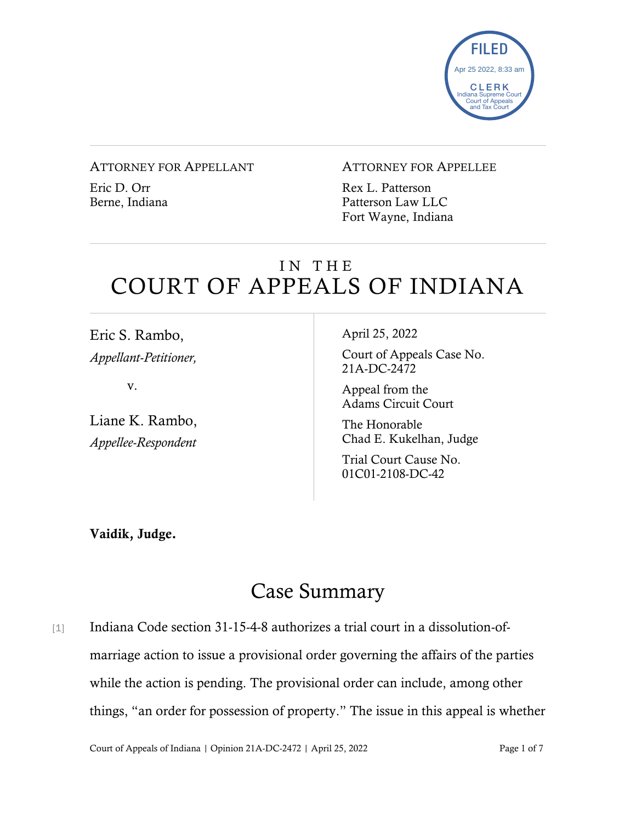

#### ATTORNEY FOR APPELLANT

Eric D. Orr Berne, Indiana

#### ATTORNEY FOR APPELLEE

Rex L. Patterson Patterson Law LLC Fort Wayne, Indiana

# IN THE COURT OF APPEALS OF INDIANA

Eric S. Rambo, *Appellant-Petitioner,*

v.

Liane K. Rambo, *Appellee-Respondent*

April 25, 2022

Court of Appeals Case No. 21A-DC-2472

Appeal from the Adams Circuit Court

The Honorable Chad E. Kukelhan, Judge

Trial Court Cause No. 01C01-2108-DC-42

Vaidik, Judge.

# Case Summary

[1] Indiana Code section 31-15-4-8 authorizes a trial court in a dissolution-ofmarriage action to issue a provisional order governing the affairs of the parties while the action is pending. The provisional order can include, among other things, "an order for possession of property." The issue in this appeal is whether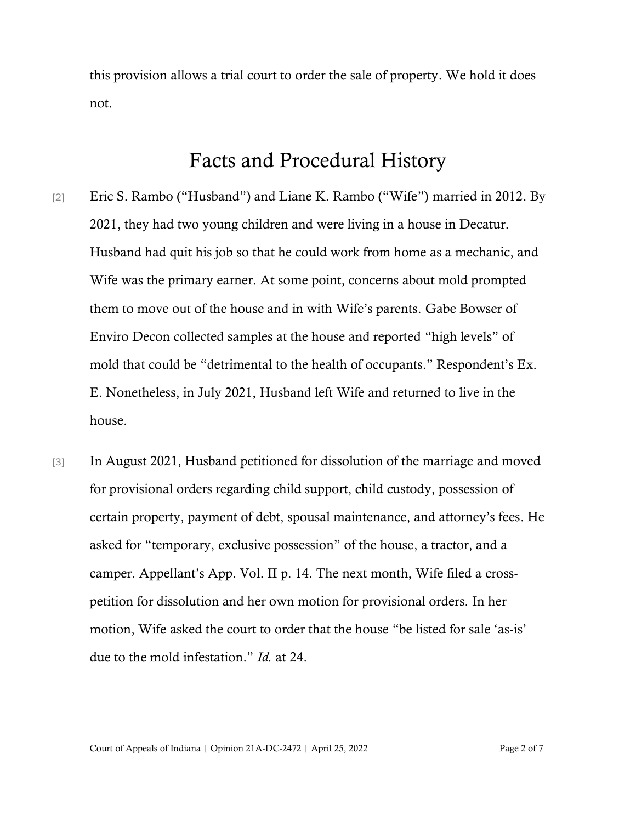this provision allows a trial court to order the sale of property. We hold it does not.

## Facts and Procedural History

- [2] Eric S. Rambo ("Husband") and Liane K. Rambo ("Wife") married in 2012. By 2021, they had two young children and were living in a house in Decatur. Husband had quit his job so that he could work from home as a mechanic, and Wife was the primary earner. At some point, concerns about mold prompted them to move out of the house and in with Wife's parents. Gabe Bowser of Enviro Decon collected samples at the house and reported "high levels" of mold that could be "detrimental to the health of occupants." Respondent's Ex. E. Nonetheless, in July 2021, Husband left Wife and returned to live in the house.
- [3] In August 2021, Husband petitioned for dissolution of the marriage and moved for provisional orders regarding child support, child custody, possession of certain property, payment of debt, spousal maintenance, and attorney's fees. He asked for "temporary, exclusive possession" of the house, a tractor, and a camper. Appellant's App. Vol. II p. 14. The next month, Wife filed a crosspetition for dissolution and her own motion for provisional orders. In her motion, Wife asked the court to order that the house "be listed for sale 'as-is' due to the mold infestation." *Id.* at 24.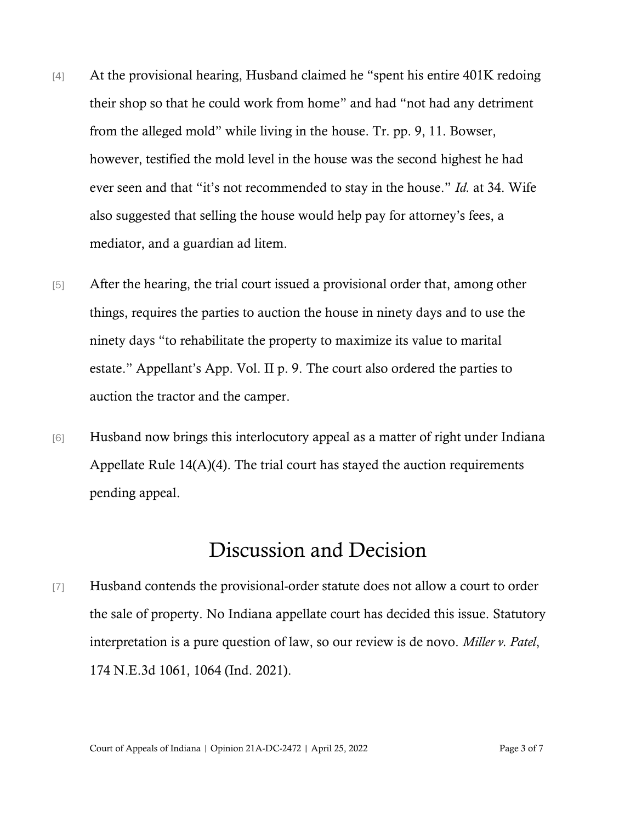- [4] At the provisional hearing, Husband claimed he "spent his entire 401K redoing their shop so that he could work from home" and had "not had any detriment from the alleged mold" while living in the house. Tr. pp. 9, 11. Bowser, however, testified the mold level in the house was the second highest he had ever seen and that "it's not recommended to stay in the house." *Id.* at 34. Wife also suggested that selling the house would help pay for attorney's fees, a mediator, and a guardian ad litem.
- [5] After the hearing, the trial court issued a provisional order that, among other things, requires the parties to auction the house in ninety days and to use the ninety days "to rehabilitate the property to maximize its value to marital estate." Appellant's App. Vol. II p. 9. The court also ordered the parties to auction the tractor and the camper.
- [6] Husband now brings this interlocutory appeal as a matter of right under Indiana Appellate Rule 14(A)(4). The trial court has stayed the auction requirements pending appeal.

## Discussion and Decision

[7] Husband contends the provisional-order statute does not allow a court to order the sale of property. No Indiana appellate court has decided this issue. Statutory interpretation is a pure question of law, so our review is de novo. *Miller v. Patel*, 174 N.E.3d 1061, 1064 (Ind. 2021).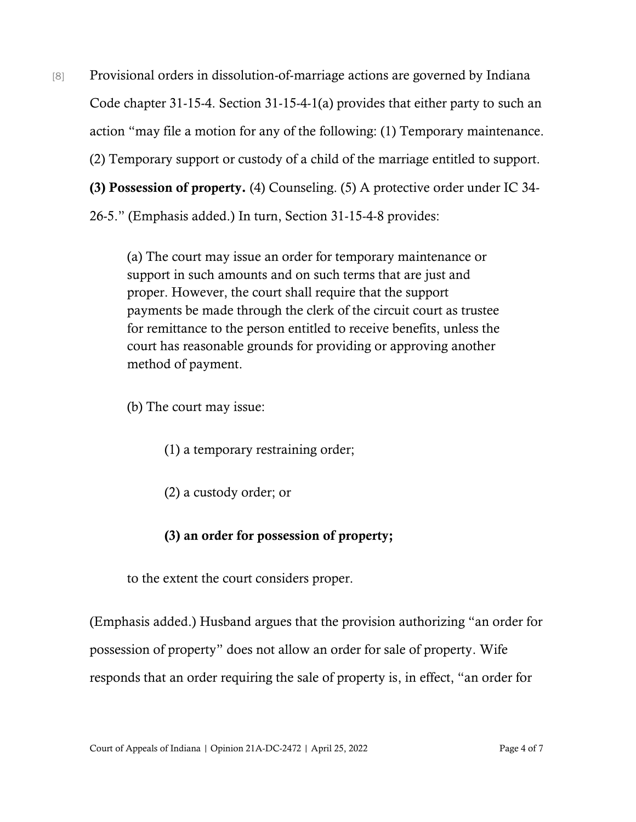[8] Provisional orders in dissolution-of-marriage actions are governed by Indiana Code chapter 31-15-4. Section 31-15-4-1(a) provides that either party to such an action "may file a motion for any of the following: (1) Temporary maintenance. (2) Temporary support or custody of a child of the marriage entitled to support. (3) Possession of property. (4) Counseling. (5) A protective order under IC 34- 26-5." (Emphasis added.) In turn, Section 31-15-4-8 provides:

> (a) The court may issue an order for temporary maintenance or support in such amounts and on such terms that are just and proper. However, the court shall require that the support payments be made through the clerk of the circuit court as trustee for remittance to the person entitled to receive benefits, unless the court has reasonable grounds for providing or approving another method of payment.

(b) The court may issue:

(1) a temporary restraining order;

(2) a custody order; or

### (3) an order for possession of property;

to the extent the court considers proper.

(Emphasis added.) Husband argues that the provision authorizing "an order for possession of property" does not allow an order for sale of property. Wife responds that an order requiring the sale of property is, in effect, "an order for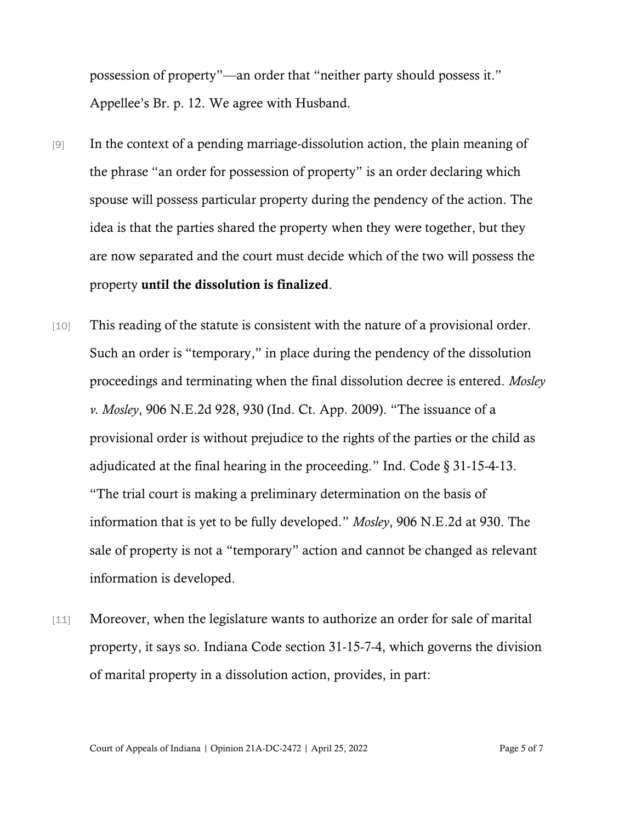possession of property"—an order that "neither party should possess it." Appellee's Br. p. 12. We agree with Husband.

- [9] In the context of a pending marriage-dissolution action, the plain meaning of the phrase "an order for possession of property" is an order declaring which spouse will possess particular property during the pendency of the action. The idea is that the parties shared the property when they were together, but they are now separated and the court must decide which of the two will possess the property until the dissolution is finalized.
- [10] This reading of the statute is consistent with the nature of a provisional order. Such an order is "temporary," in place during the pendency of the dissolution proceedings and terminating when the final dissolution decree is entered. *Mosley v. Mosley*, 906 N.E.2d 928, 930 (Ind. Ct. App. 2009). "The issuance of a provisional order is without prejudice to the rights of the parties or the child as adjudicated at the final hearing in the proceeding." Ind. Code § 31-15-4-13. "The trial court is making a preliminary determination on the basis of information that is yet to be fully developed." *Mosley*, 906 N.E.2d at 930. The sale of property is not a "temporary" action and cannot be changed as relevant information is developed.
- [11] Moreover, when the legislature wants to authorize an order for sale of marital property, it says so. Indiana Code section 31-15-7-4, which governs the division of marital property in a dissolution action, provides, in part:

Court of Appeals of Indiana | Opinion 21A-DC-2472 | April 25, 2022 Page 5 of 7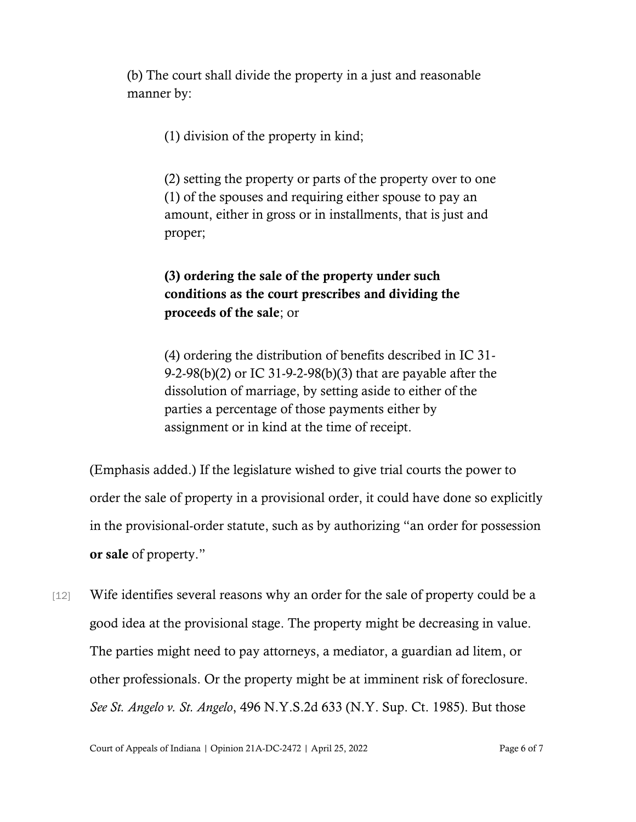(b) The court shall divide the property in a just and reasonable manner by:

(1) division of the property in kind;

(2) setting the property or parts of the property over to one (1) of the spouses and requiring either spouse to pay an amount, either in gross or in installments, that is just and proper;

### (3) ordering the sale of the property under such conditions as the court prescribes and dividing the proceeds of the sale; or

(4) ordering the distribution of benefits described in IC 31- 9-2-98(b)(2) or IC 31-9-2-98(b)(3) that are payable after the dissolution of marriage, by setting aside to either of the parties a percentage of those payments either by assignment or in kind at the time of receipt.

(Emphasis added.) If the legislature wished to give trial courts the power to order the sale of property in a provisional order, it could have done so explicitly in the provisional-order statute, such as by authorizing "an order for possession or sale of property."

[12] Wife identifies several reasons why an order for the sale of property could be a good idea at the provisional stage. The property might be decreasing in value. The parties might need to pay attorneys, a mediator, a guardian ad litem, or other professionals. Or the property might be at imminent risk of foreclosure. *See St. Angelo v. St. Angelo*, 496 N.Y.S.2d 633 (N.Y. Sup. Ct. 1985). But those